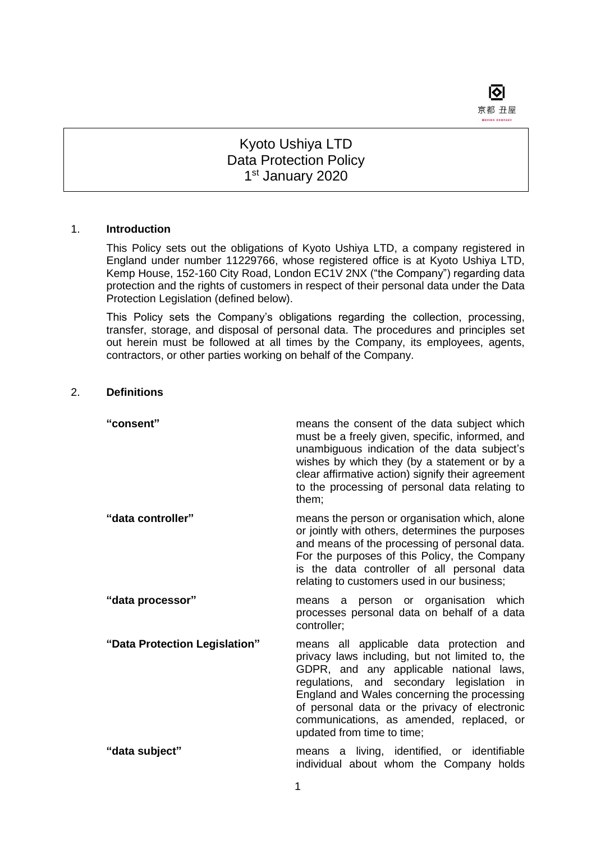

# Kyoto Ushiya LTD Data Protection Policy 1st January 2020

#### 1. **Introduction**

This Policy sets out the obligations of Kyoto Ushiya LTD, a company registered in England under number 11229766, whose registered office is at Kyoto Ushiya LTD, Kemp House, 152-160 City Road, London EC1V 2NX ("the Company") regarding data protection and the rights of customers in respect of their personal data under the Data Protection Legislation (defined below).

This Policy sets the Company's obligations regarding the collection, processing, transfer, storage, and disposal of personal data. The procedures and principles set out herein must be followed at all times by the Company, its employees, agents, contractors, or other parties working on behalf of the Company.

# 2. **Definitions**

| "consent"                     | means the consent of the data subject which<br>must be a freely given, specific, informed, and<br>unambiguous indication of the data subject's<br>wishes by which they (by a statement or by a<br>clear affirmative action) signify their agreement<br>to the processing of personal data relating to<br>them;                                                |
|-------------------------------|---------------------------------------------------------------------------------------------------------------------------------------------------------------------------------------------------------------------------------------------------------------------------------------------------------------------------------------------------------------|
| "data controller"             | means the person or organisation which, alone<br>or jointly with others, determines the purposes<br>and means of the processing of personal data.<br>For the purposes of this Policy, the Company<br>is the data controller of all personal data<br>relating to customers used in our business;                                                               |
| "data processor"              | a person or organisation which<br>means<br>processes personal data on behalf of a data<br>controller;                                                                                                                                                                                                                                                         |
| "Data Protection Legislation" | means all applicable data protection and<br>privacy laws including, but not limited to, the<br>GDPR, and any applicable national laws,<br>regulations, and secondary legislation in<br>England and Wales concerning the processing<br>of personal data or the privacy of electronic<br>communications, as amended, replaced, or<br>updated from time to time; |
| "data subject"                | means a living, identified, or identifiable<br>individual about whom the Company holds                                                                                                                                                                                                                                                                        |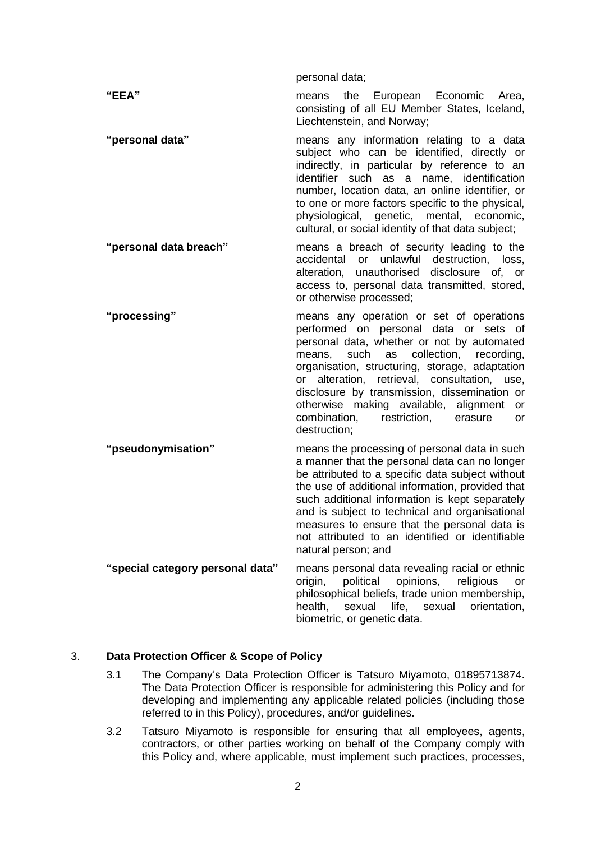personal data; **"EEA"** means the European Economic Area, consisting of all EU Member States, Iceland, Liechtenstein, and Norway; **"personal data"** means any information relating to a data subject who can be identified, directly or indirectly, in particular by reference to an identifier such as a name, identification number, location data, an online identifier, or to one or more factors specific to the physical, physiological, genetic, mental, economic, cultural, or social identity of that data subject; **"personal data breach"** means a breach of security leading to the accidental or unlawful destruction, loss, alteration, unauthorised disclosure of, or access to, personal data transmitted, stored, or otherwise processed; **"processing"** means any operation or set of operations performed on personal data or sets of personal data, whether or not by automated means, such as collection, recording, organisation, structuring, storage, adaptation or alteration, retrieval, consultation, use, disclosure by transmission, dissemination or otherwise making available, alignment or combination, restriction, erasure or destruction; **"pseudonymisation"** means the processing of personal data in such a manner that the personal data can no longer be attributed to a specific data subject without the use of additional information, provided that such additional information is kept separately and is subject to technical and organisational measures to ensure that the personal data is not attributed to an identified or identifiable natural person; and **"special category personal data"** means personal data revealing racial or ethnic origin, political opinions, religious or philosophical beliefs, trade union membership, health, sexual life, sexual orientation,

#### 3. **Data Protection Officer & Scope of Policy**

3.1 The Company's Data Protection Officer is Tatsuro Miyamoto, 01895713874. The Data Protection Officer is responsible for administering this Policy and for developing and implementing any applicable related policies (including those referred to in this Policy), procedures, and/or guidelines.

biometric, or genetic data.

3.2 Tatsuro Miyamoto is responsible for ensuring that all employees, agents, contractors, or other parties working on behalf of the Company comply with this Policy and, where applicable, must implement such practices, processes,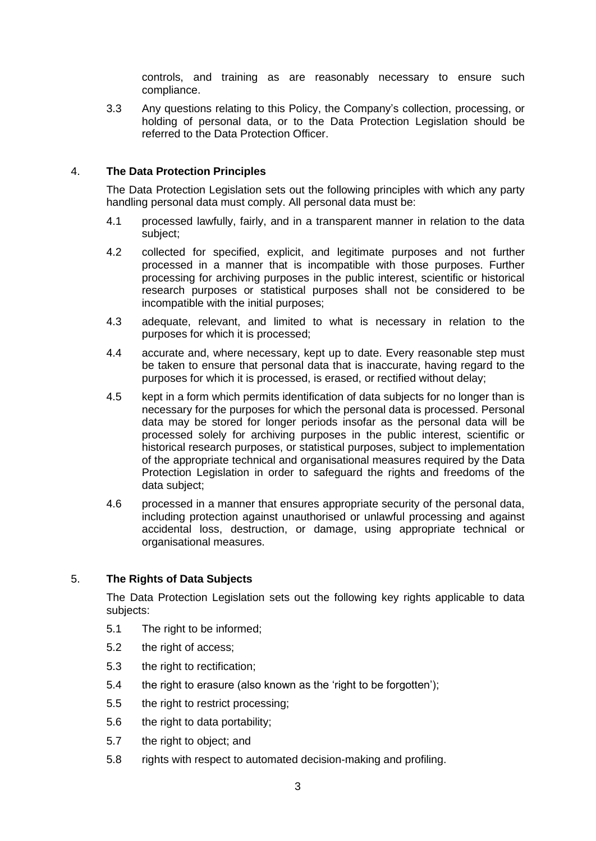controls, and training as are reasonably necessary to ensure such compliance.

3.3 Any questions relating to this Policy, the Company's collection, processing, or holding of personal data, or to the Data Protection Legislation should be referred to the Data Protection Officer.

# 4. **The Data Protection Principles**

The Data Protection Legislation sets out the following principles with which any party handling personal data must comply. All personal data must be:

- 4.1 processed lawfully, fairly, and in a transparent manner in relation to the data subject;
- 4.2 collected for specified, explicit, and legitimate purposes and not further processed in a manner that is incompatible with those purposes. Further processing for archiving purposes in the public interest, scientific or historical research purposes or statistical purposes shall not be considered to be incompatible with the initial purposes;
- 4.3 adequate, relevant, and limited to what is necessary in relation to the purposes for which it is processed;
- 4.4 accurate and, where necessary, kept up to date. Every reasonable step must be taken to ensure that personal data that is inaccurate, having regard to the purposes for which it is processed, is erased, or rectified without delay;
- 4.5 kept in a form which permits identification of data subjects for no longer than is necessary for the purposes for which the personal data is processed. Personal data may be stored for longer periods insofar as the personal data will be processed solely for archiving purposes in the public interest, scientific or historical research purposes, or statistical purposes, subject to implementation of the appropriate technical and organisational measures required by the Data Protection Legislation in order to safeguard the rights and freedoms of the data subject;
- 4.6 processed in a manner that ensures appropriate security of the personal data, including protection against unauthorised or unlawful processing and against accidental loss, destruction, or damage, using appropriate technical or organisational measures.

# 5. **The Rights of Data Subjects**

The Data Protection Legislation sets out the following key rights applicable to data subjects:

- 5.1 The right to be informed;
- 5.2 the right of access;
- 5.3 the right to rectification;
- 5.4 the right to erasure (also known as the 'right to be forgotten');
- 5.5 the right to restrict processing;
- 5.6 the right to data portability;
- 5.7 the right to object; and
- 5.8 rights with respect to automated decision-making and profiling.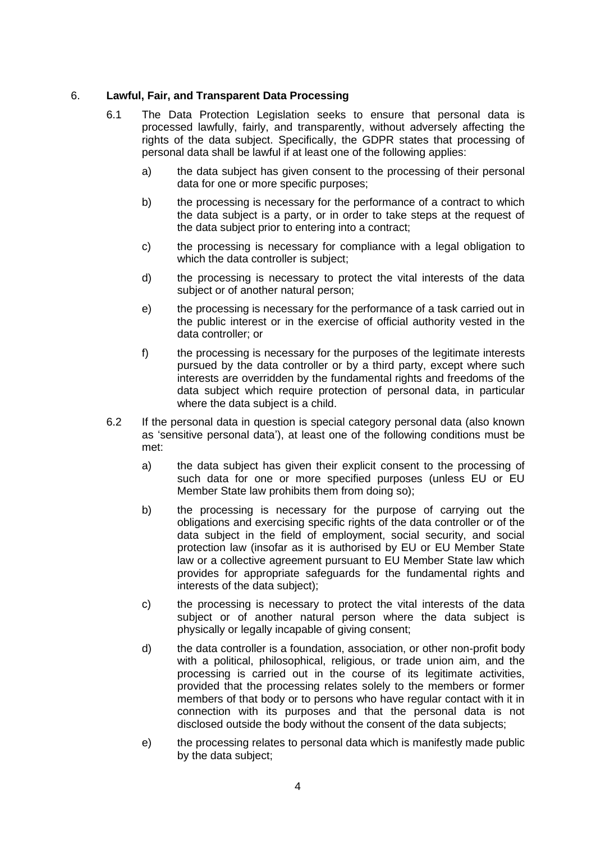# 6. **Lawful, Fair, and Transparent Data Processing**

- 6.1 The Data Protection Legislation seeks to ensure that personal data is processed lawfully, fairly, and transparently, without adversely affecting the rights of the data subject. Specifically, the GDPR states that processing of personal data shall be lawful if at least one of the following applies:
	- a) the data subject has given consent to the processing of their personal data for one or more specific purposes;
	- b) the processing is necessary for the performance of a contract to which the data subject is a party, or in order to take steps at the request of the data subject prior to entering into a contract;
	- c) the processing is necessary for compliance with a legal obligation to which the data controller is subject;
	- d) the processing is necessary to protect the vital interests of the data subject or of another natural person;
	- e) the processing is necessary for the performance of a task carried out in the public interest or in the exercise of official authority vested in the data controller; or
	- f) the processing is necessary for the purposes of the legitimate interests pursued by the data controller or by a third party, except where such interests are overridden by the fundamental rights and freedoms of the data subject which require protection of personal data, in particular where the data subject is a child.
- 6.2 If the personal data in question is special category personal data (also known as 'sensitive personal data'), at least one of the following conditions must be met:
	- a) the data subject has given their explicit consent to the processing of such data for one or more specified purposes (unless EU or EU Member State law prohibits them from doing so);
	- b) the processing is necessary for the purpose of carrying out the obligations and exercising specific rights of the data controller or of the data subject in the field of employment, social security, and social protection law (insofar as it is authorised by EU or EU Member State law or a collective agreement pursuant to EU Member State law which provides for appropriate safeguards for the fundamental rights and interests of the data subject);
	- c) the processing is necessary to protect the vital interests of the data subject or of another natural person where the data subject is physically or legally incapable of giving consent;
	- d) the data controller is a foundation, association, or other non-profit body with a political, philosophical, religious, or trade union aim, and the processing is carried out in the course of its legitimate activities, provided that the processing relates solely to the members or former members of that body or to persons who have regular contact with it in connection with its purposes and that the personal data is not disclosed outside the body without the consent of the data subjects;
	- e) the processing relates to personal data which is manifestly made public by the data subject;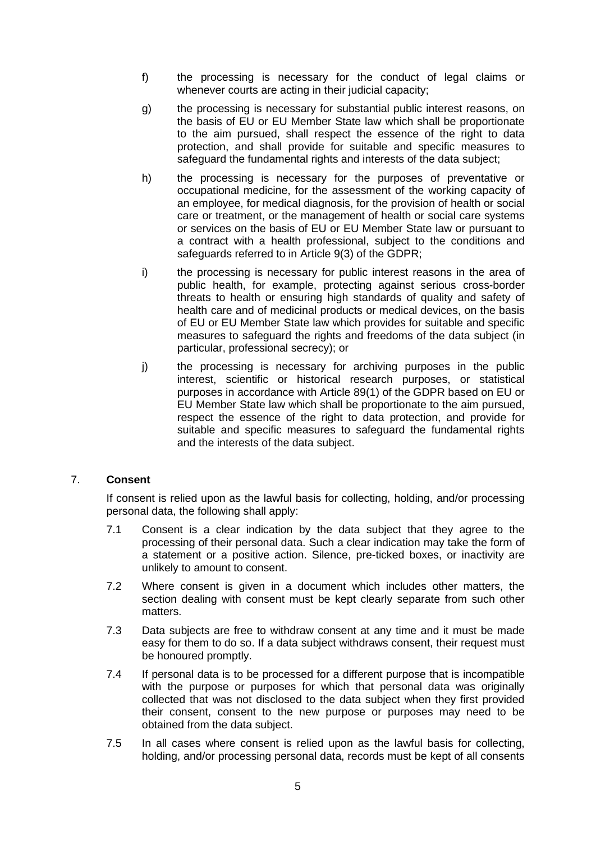- f) the processing is necessary for the conduct of legal claims or whenever courts are acting in their judicial capacity;
- g) the processing is necessary for substantial public interest reasons, on the basis of EU or EU Member State law which shall be proportionate to the aim pursued, shall respect the essence of the right to data protection, and shall provide for suitable and specific measures to safeguard the fundamental rights and interests of the data subject:
- h) the processing is necessary for the purposes of preventative or occupational medicine, for the assessment of the working capacity of an employee, for medical diagnosis, for the provision of health or social care or treatment, or the management of health or social care systems or services on the basis of EU or EU Member State law or pursuant to a contract with a health professional, subject to the conditions and safeguards referred to in Article 9(3) of the GDPR;
- i) the processing is necessary for public interest reasons in the area of public health, for example, protecting against serious cross-border threats to health or ensuring high standards of quality and safety of health care and of medicinal products or medical devices, on the basis of EU or EU Member State law which provides for suitable and specific measures to safeguard the rights and freedoms of the data subject (in particular, professional secrecy); or
- j) the processing is necessary for archiving purposes in the public interest, scientific or historical research purposes, or statistical purposes in accordance with Article 89(1) of the GDPR based on EU or EU Member State law which shall be proportionate to the aim pursued, respect the essence of the right to data protection, and provide for suitable and specific measures to safeguard the fundamental rights and the interests of the data subject.

# 7. **Consent**

If consent is relied upon as the lawful basis for collecting, holding, and/or processing personal data, the following shall apply:

- 7.1 Consent is a clear indication by the data subject that they agree to the processing of their personal data. Such a clear indication may take the form of a statement or a positive action. Silence, pre-ticked boxes, or inactivity are unlikely to amount to consent.
- 7.2 Where consent is given in a document which includes other matters, the section dealing with consent must be kept clearly separate from such other matters.
- 7.3 Data subjects are free to withdraw consent at any time and it must be made easy for them to do so. If a data subject withdraws consent, their request must be honoured promptly.
- 7.4 If personal data is to be processed for a different purpose that is incompatible with the purpose or purposes for which that personal data was originally collected that was not disclosed to the data subject when they first provided their consent, consent to the new purpose or purposes may need to be obtained from the data subject.
- 7.5 In all cases where consent is relied upon as the lawful basis for collecting, holding, and/or processing personal data, records must be kept of all consents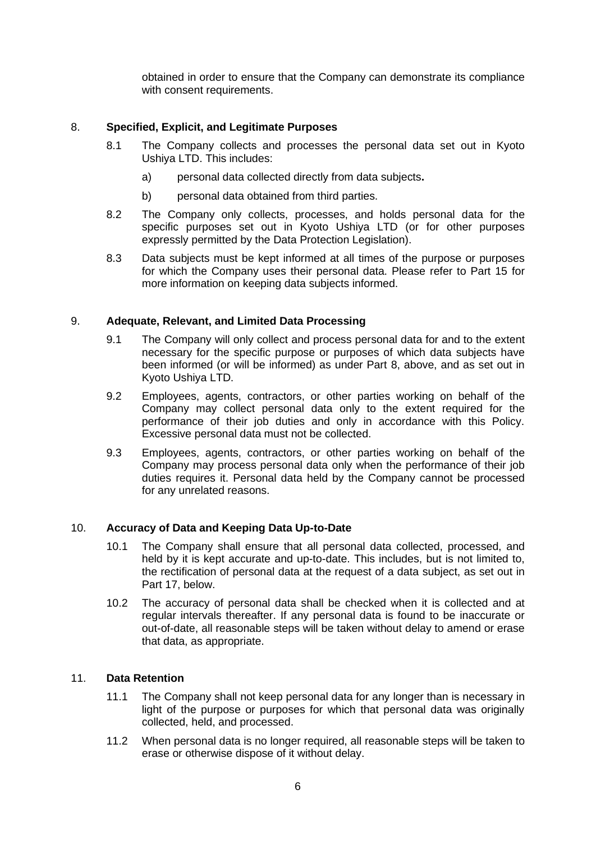obtained in order to ensure that the Company can demonstrate its compliance with consent requirements.

# 8. **Specified, Explicit, and Legitimate Purposes**

- 8.1 The Company collects and processes the personal data set out in Kyoto Ushiya LTD. This includes:
	- a) personal data collected directly from data subjects**.**
	- b) personal data obtained from third parties.
- 8.2 The Company only collects, processes, and holds personal data for the specific purposes set out in Kyoto Ushiya LTD (or for other purposes expressly permitted by the Data Protection Legislation).
- 8.3 Data subjects must be kept informed at all times of the purpose or purposes for which the Company uses their personal data. Please refer to Part 15 for more information on keeping data subjects informed.

# 9. **Adequate, Relevant, and Limited Data Processing**

- 9.1 The Company will only collect and process personal data for and to the extent necessary for the specific purpose or purposes of which data subjects have been informed (or will be informed) as under Part 8, above, and as set out in Kyoto Ushiya LTD.
- 9.2 Employees, agents, contractors, or other parties working on behalf of the Company may collect personal data only to the extent required for the performance of their job duties and only in accordance with this Policy. Excessive personal data must not be collected.
- 9.3 Employees, agents, contractors, or other parties working on behalf of the Company may process personal data only when the performance of their job duties requires it. Personal data held by the Company cannot be processed for any unrelated reasons.

# 10. **Accuracy of Data and Keeping Data Up-to-Date**

- 10.1 The Company shall ensure that all personal data collected, processed, and held by it is kept accurate and up-to-date. This includes, but is not limited to, the rectification of personal data at the request of a data subject, as set out in Part 17, below.
- 10.2 The accuracy of personal data shall be checked when it is collected and at regular intervals thereafter. If any personal data is found to be inaccurate or out-of-date, all reasonable steps will be taken without delay to amend or erase that data, as appropriate.

# 11. **Data Retention**

- 11.1 The Company shall not keep personal data for any longer than is necessary in light of the purpose or purposes for which that personal data was originally collected, held, and processed.
- 11.2 When personal data is no longer required, all reasonable steps will be taken to erase or otherwise dispose of it without delay.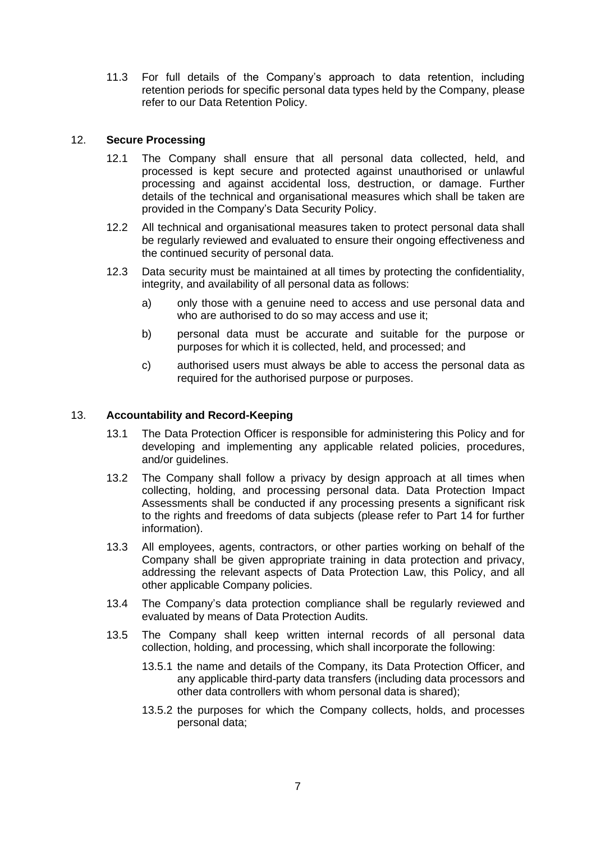11.3 For full details of the Company's approach to data retention, including retention periods for specific personal data types held by the Company, please refer to our Data Retention Policy.

### 12. **Secure Processing**

- 12.1 The Company shall ensure that all personal data collected, held, and processed is kept secure and protected against unauthorised or unlawful processing and against accidental loss, destruction, or damage. Further details of the technical and organisational measures which shall be taken are provided in the Company's Data Security Policy.
- 12.2 All technical and organisational measures taken to protect personal data shall be regularly reviewed and evaluated to ensure their ongoing effectiveness and the continued security of personal data.
- 12.3 Data security must be maintained at all times by protecting the confidentiality, integrity, and availability of all personal data as follows:
	- a) only those with a genuine need to access and use personal data and who are authorised to do so may access and use it;
	- b) personal data must be accurate and suitable for the purpose or purposes for which it is collected, held, and processed; and
	- c) authorised users must always be able to access the personal data as required for the authorised purpose or purposes.

#### 13. **Accountability and Record-Keeping**

- 13.1 The Data Protection Officer is responsible for administering this Policy and for developing and implementing any applicable related policies, procedures, and/or guidelines.
- 13.2 The Company shall follow a privacy by design approach at all times when collecting, holding, and processing personal data. Data Protection Impact Assessments shall be conducted if any processing presents a significant risk to the rights and freedoms of data subjects (please refer to Part 14 for further information).
- 13.3 All employees, agents, contractors, or other parties working on behalf of the Company shall be given appropriate training in data protection and privacy, addressing the relevant aspects of Data Protection Law, this Policy, and all other applicable Company policies.
- 13.4 The Company's data protection compliance shall be regularly reviewed and evaluated by means of Data Protection Audits.
- 13.5 The Company shall keep written internal records of all personal data collection, holding, and processing, which shall incorporate the following:
	- 13.5.1 the name and details of the Company, its Data Protection Officer, and any applicable third-party data transfers (including data processors and other data controllers with whom personal data is shared);
	- 13.5.2 the purposes for which the Company collects, holds, and processes personal data;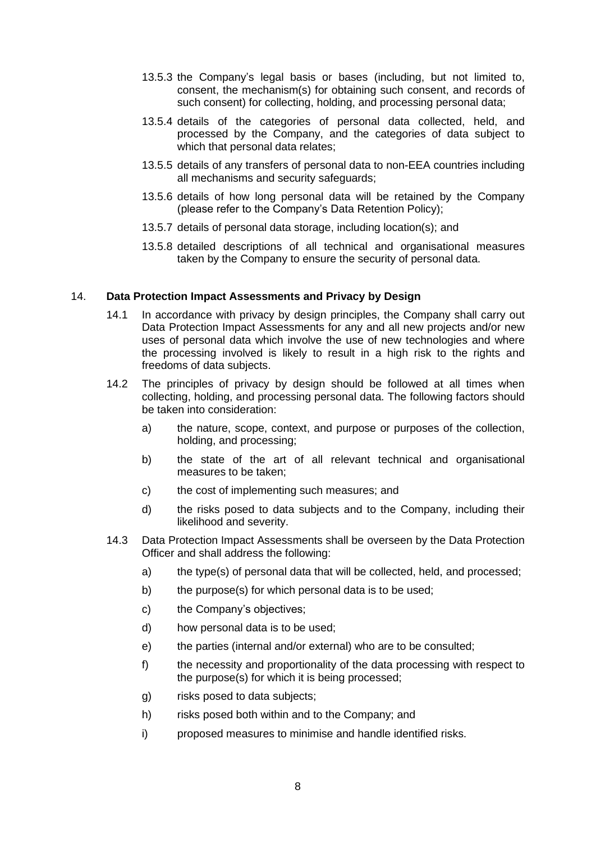- 13.5.3 the Company's legal basis or bases (including, but not limited to, consent, the mechanism(s) for obtaining such consent, and records of such consent) for collecting, holding, and processing personal data:
- 13.5.4 details of the categories of personal data collected, held, and processed by the Company, and the categories of data subject to which that personal data relates;
- 13.5.5 details of any transfers of personal data to non-EEA countries including all mechanisms and security safeguards;
- 13.5.6 details of how long personal data will be retained by the Company (please refer to the Company's Data Retention Policy);
- 13.5.7 details of personal data storage, including location(s); and
- 13.5.8 detailed descriptions of all technical and organisational measures taken by the Company to ensure the security of personal data.

#### 14. **Data Protection Impact Assessments and Privacy by Design**

- 14.1 In accordance with privacy by design principles, the Company shall carry out Data Protection Impact Assessments for any and all new projects and/or new uses of personal data which involve the use of new technologies and where the processing involved is likely to result in a high risk to the rights and freedoms of data subjects.
- 14.2 The principles of privacy by design should be followed at all times when collecting, holding, and processing personal data. The following factors should be taken into consideration:
	- a) the nature, scope, context, and purpose or purposes of the collection, holding, and processing;
	- b) the state of the art of all relevant technical and organisational measures to be taken;
	- c) the cost of implementing such measures; and
	- d) the risks posed to data subjects and to the Company, including their likelihood and severity.
- 14.3 Data Protection Impact Assessments shall be overseen by the Data Protection Officer and shall address the following:
	- a) the type(s) of personal data that will be collected, held, and processed;
	- b) the purpose(s) for which personal data is to be used;
	- c) the Company's objectives;
	- d) how personal data is to be used;
	- e) the parties (internal and/or external) who are to be consulted;
	- f) the necessity and proportionality of the data processing with respect to the purpose(s) for which it is being processed;
	- g) risks posed to data subjects;
	- h) risks posed both within and to the Company; and
	- i) proposed measures to minimise and handle identified risks.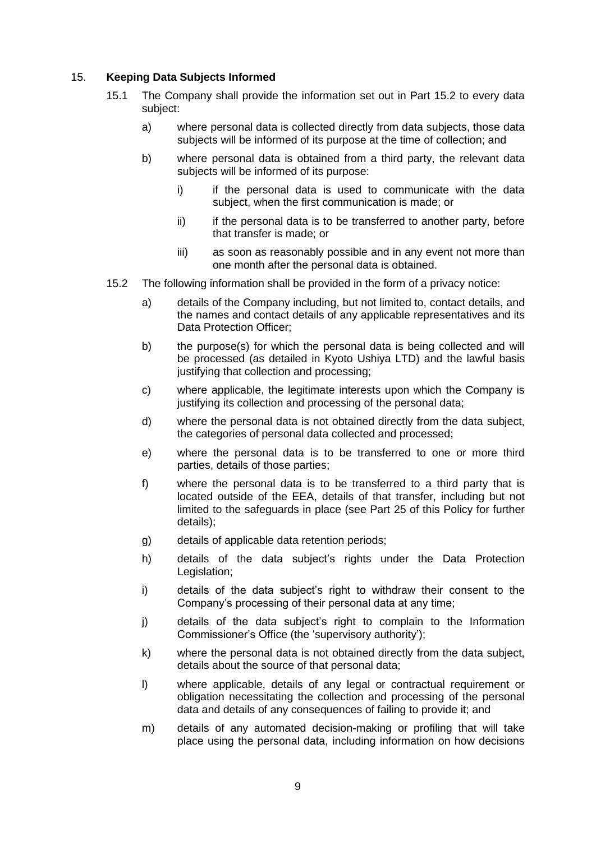# 15. **Keeping Data Subjects Informed**

- 15.1 The Company shall provide the information set out in Part 15.2 to every data subject:
	- a) where personal data is collected directly from data subjects, those data subjects will be informed of its purpose at the time of collection; and
	- b) where personal data is obtained from a third party, the relevant data subjects will be informed of its purpose:
		- i) if the personal data is used to communicate with the data subject, when the first communication is made; or
		- ii) if the personal data is to be transferred to another party, before that transfer is made; or
		- iii) as soon as reasonably possible and in any event not more than one month after the personal data is obtained.
- 15.2 The following information shall be provided in the form of a privacy notice:
	- a) details of the Company including, but not limited to, contact details, and the names and contact details of any applicable representatives and its Data Protection Officer;
	- b) the purpose(s) for which the personal data is being collected and will be processed (as detailed in Kyoto Ushiya LTD) and the lawful basis justifying that collection and processing;
	- c) where applicable, the legitimate interests upon which the Company is justifying its collection and processing of the personal data;
	- d) where the personal data is not obtained directly from the data subject, the categories of personal data collected and processed;
	- e) where the personal data is to be transferred to one or more third parties, details of those parties;
	- f) where the personal data is to be transferred to a third party that is located outside of the EEA, details of that transfer, including but not limited to the safeguards in place (see Part 25 of this Policy for further details);
	- g) details of applicable data retention periods;
	- h) details of the data subject's rights under the Data Protection Legislation;
	- i) details of the data subject's right to withdraw their consent to the Company's processing of their personal data at any time;
	- j) details of the data subject's right to complain to the Information Commissioner's Office (the 'supervisory authority');
	- k) where the personal data is not obtained directly from the data subject, details about the source of that personal data;
	- l) where applicable, details of any legal or contractual requirement or obligation necessitating the collection and processing of the personal data and details of any consequences of failing to provide it; and
	- m) details of any automated decision-making or profiling that will take place using the personal data, including information on how decisions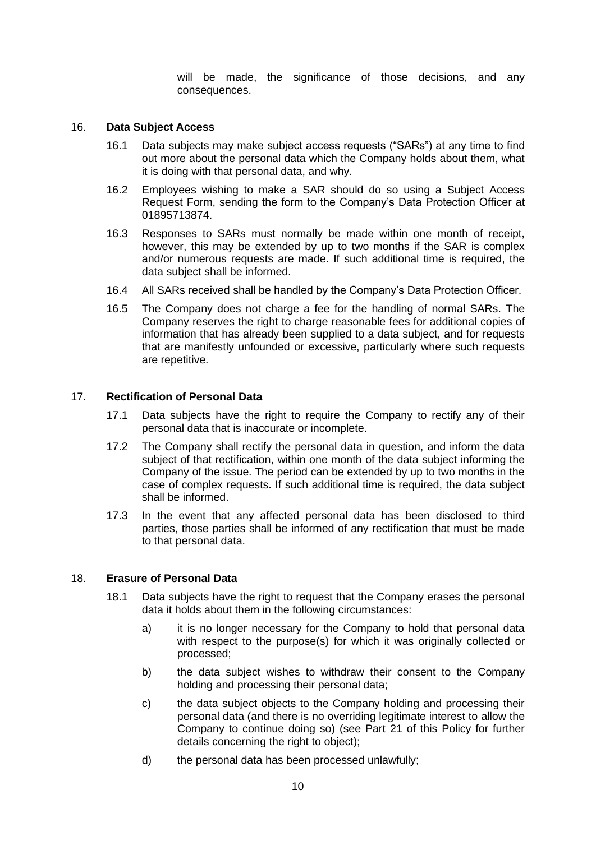will be made, the significance of those decisions, and any consequences.

#### 16. **Data Subject Access**

- 16.1 Data subjects may make subject access requests ("SARs") at any time to find out more about the personal data which the Company holds about them, what it is doing with that personal data, and why.
- 16.2 Employees wishing to make a SAR should do so using a Subject Access Request Form, sending the form to the Company's Data Protection Officer at 01895713874.
- 16.3 Responses to SARs must normally be made within one month of receipt, however, this may be extended by up to two months if the SAR is complex and/or numerous requests are made. If such additional time is required, the data subject shall be informed.
- 16.4 All SARs received shall be handled by the Company's Data Protection Officer.
- 16.5 The Company does not charge a fee for the handling of normal SARs. The Company reserves the right to charge reasonable fees for additional copies of information that has already been supplied to a data subject, and for requests that are manifestly unfounded or excessive, particularly where such requests are repetitive.

# 17. **Rectification of Personal Data**

- 17.1 Data subjects have the right to require the Company to rectify any of their personal data that is inaccurate or incomplete.
- 17.2 The Company shall rectify the personal data in question, and inform the data subject of that rectification, within one month of the data subject informing the Company of the issue. The period can be extended by up to two months in the case of complex requests. If such additional time is required, the data subject shall be informed.
- 17.3 In the event that any affected personal data has been disclosed to third parties, those parties shall be informed of any rectification that must be made to that personal data.

#### 18. **Erasure of Personal Data**

- 18.1 Data subjects have the right to request that the Company erases the personal data it holds about them in the following circumstances:
	- a) it is no longer necessary for the Company to hold that personal data with respect to the purpose(s) for which it was originally collected or processed;
	- b) the data subject wishes to withdraw their consent to the Company holding and processing their personal data;
	- c) the data subject objects to the Company holding and processing their personal data (and there is no overriding legitimate interest to allow the Company to continue doing so) (see Part 21 of this Policy for further details concerning the right to object);
	- d) the personal data has been processed unlawfully;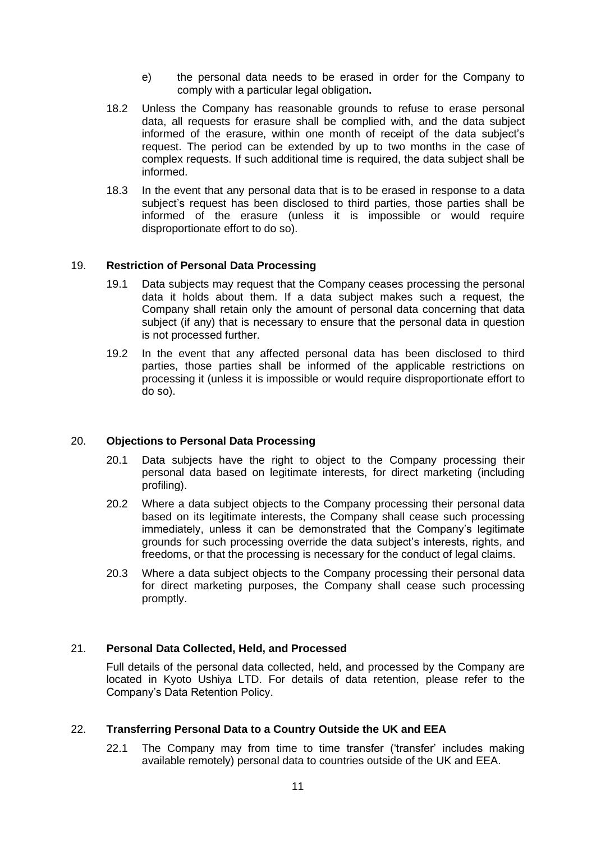- e) the personal data needs to be erased in order for the Company to comply with a particular legal obligation**.**
- 18.2 Unless the Company has reasonable grounds to refuse to erase personal data, all requests for erasure shall be complied with, and the data subject informed of the erasure, within one month of receipt of the data subject's request. The period can be extended by up to two months in the case of complex requests. If such additional time is required, the data subject shall be informed.
- 18.3 In the event that any personal data that is to be erased in response to a data subject's request has been disclosed to third parties, those parties shall be informed of the erasure (unless it is impossible or would require disproportionate effort to do so).

# 19. **Restriction of Personal Data Processing**

- 19.1 Data subjects may request that the Company ceases processing the personal data it holds about them. If a data subject makes such a request, the Company shall retain only the amount of personal data concerning that data subject (if any) that is necessary to ensure that the personal data in question is not processed further.
- 19.2 In the event that any affected personal data has been disclosed to third parties, those parties shall be informed of the applicable restrictions on processing it (unless it is impossible or would require disproportionate effort to do so).

#### 20. **Objections to Personal Data Processing**

- 20.1 Data subjects have the right to object to the Company processing their personal data based on legitimate interests, for direct marketing (including profiling).
- 20.2 Where a data subject objects to the Company processing their personal data based on its legitimate interests, the Company shall cease such processing immediately, unless it can be demonstrated that the Company's legitimate grounds for such processing override the data subject's interests, rights, and freedoms, or that the processing is necessary for the conduct of legal claims.
- 20.3 Where a data subject objects to the Company processing their personal data for direct marketing purposes, the Company shall cease such processing promptly.

# 21. **Personal Data Collected, Held, and Processed**

Full details of the personal data collected, held, and processed by the Company are located in Kyoto Ushiya LTD. For details of data retention, please refer to the Company's Data Retention Policy.

# 22. **Transferring Personal Data to a Country Outside the UK and EEA**

22.1 The Company may from time to time transfer ('transfer' includes making available remotely) personal data to countries outside of the UK and EEA.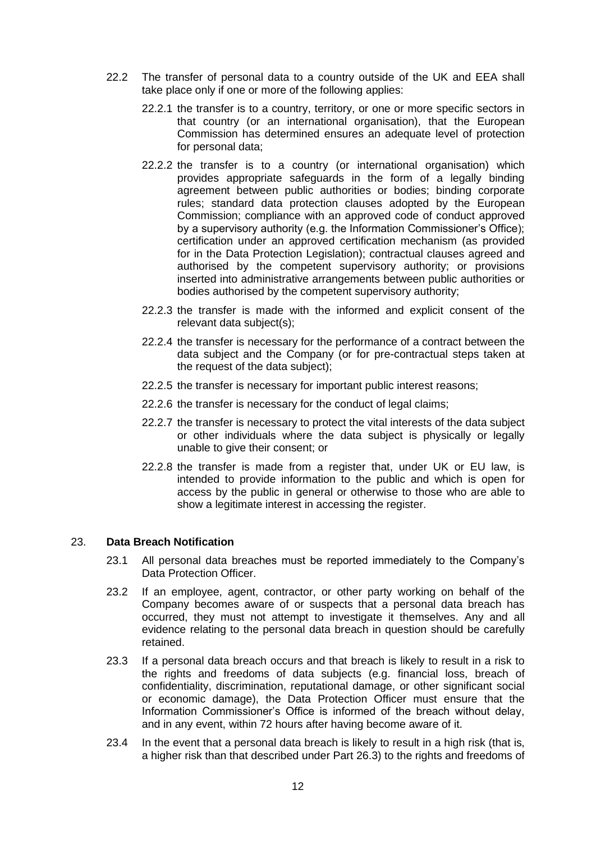- 22.2 The transfer of personal data to a country outside of the UK and EEA shall take place only if one or more of the following applies:
	- 22.2.1 the transfer is to a country, territory, or one or more specific sectors in that country (or an international organisation), that the European Commission has determined ensures an adequate level of protection for personal data;
	- 22.2.2 the transfer is to a country (or international organisation) which provides appropriate safeguards in the form of a legally binding agreement between public authorities or bodies; binding corporate rules; standard data protection clauses adopted by the European Commission; compliance with an approved code of conduct approved by a supervisory authority (e.g. the Information Commissioner's Office); certification under an approved certification mechanism (as provided for in the Data Protection Legislation); contractual clauses agreed and authorised by the competent supervisory authority; or provisions inserted into administrative arrangements between public authorities or bodies authorised by the competent supervisory authority;
	- 22.2.3 the transfer is made with the informed and explicit consent of the relevant data subject(s);
	- 22.2.4 the transfer is necessary for the performance of a contract between the data subject and the Company (or for pre-contractual steps taken at the request of the data subject);
	- 22.2.5 the transfer is necessary for important public interest reasons;
	- 22.2.6 the transfer is necessary for the conduct of legal claims;
	- 22.2.7 the transfer is necessary to protect the vital interests of the data subject or other individuals where the data subject is physically or legally unable to give their consent; or
	- 22.2.8 the transfer is made from a register that, under UK or EU law, is intended to provide information to the public and which is open for access by the public in general or otherwise to those who are able to show a legitimate interest in accessing the register.

# 23. **Data Breach Notification**

- 23.1 All personal data breaches must be reported immediately to the Company's Data Protection Officer.
- 23.2 If an employee, agent, contractor, or other party working on behalf of the Company becomes aware of or suspects that a personal data breach has occurred, they must not attempt to investigate it themselves. Any and all evidence relating to the personal data breach in question should be carefully retained.
- 23.3 If a personal data breach occurs and that breach is likely to result in a risk to the rights and freedoms of data subjects (e.g. financial loss, breach of confidentiality, discrimination, reputational damage, or other significant social or economic damage), the Data Protection Officer must ensure that the Information Commissioner's Office is informed of the breach without delay, and in any event, within 72 hours after having become aware of it.
- 23.4 In the event that a personal data breach is likely to result in a high risk (that is, a higher risk than that described under Part 26.3) to the rights and freedoms of